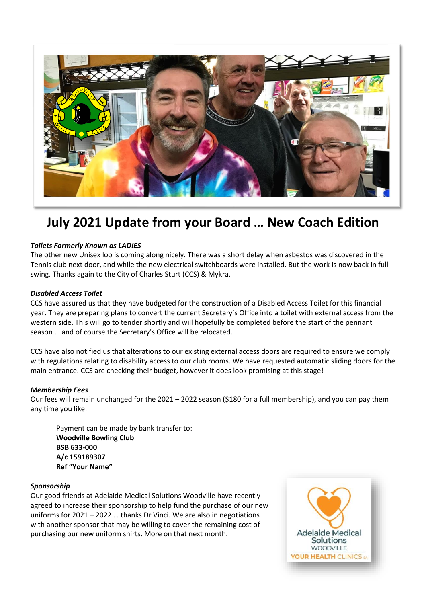

# **July 2021 Update from your Board … New Coach Edition**

## *Toilets Formerly Known as LADIES*

The other new Unisex loo is coming along nicely. There was a short delay when asbestos was discovered in the Tennis club next door, and while the new electrical switchboards were installed. But the work is now back in full swing. Thanks again to the City of Charles Sturt (CCS) & Mykra.

## *Disabled Access Toilet*

CCS have assured us that they have budgeted for the construction of a Disabled Access Toilet for this financial year. They are preparing plans to convert the current Secretary's Office into a toilet with external access from the western side. This will go to tender shortly and will hopefully be completed before the start of the pennant season … and of course the Secretary's Office will be relocated.

CCS have also notified us that alterations to our existing external access doors are required to ensure we comply with regulations relating to disability access to our club rooms. We have requested automatic sliding doors for the main entrance. CCS are checking their budget, however it does look promising at this stage!

#### *Membership Fees*

Our fees will remain unchanged for the 2021 – 2022 season (\$180 for a full membership), and you can pay them any time you like:

Payment can be made by bank transfer to: **Woodville Bowling Club BSB 633-000 A/c 159189307 Ref "Your Name"**

#### *Sponsorship*

Our good friends at Adelaide Medical Solutions Woodville have recently agreed to increase their sponsorship to help fund the purchase of our new uniforms for 2021 – 2022 … thanks Dr Vinci. We are also in negotiations with another sponsor that may be willing to cover the remaining cost of purchasing our new uniform shirts. More on that next month.